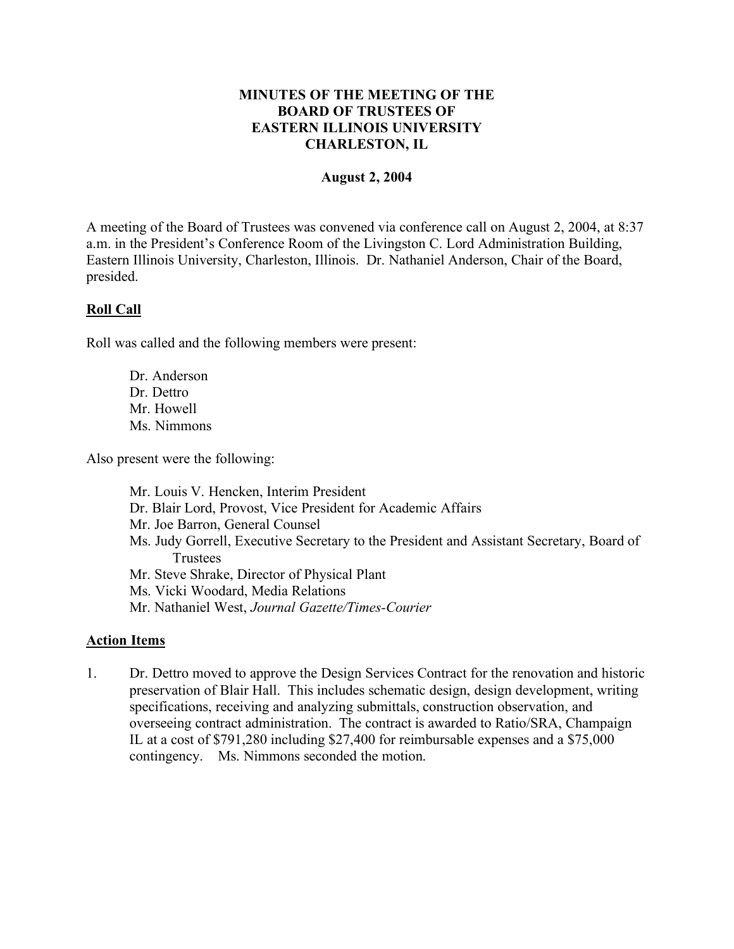## **MINUTES OF THE MEETING OF THE BOARD OF TRUSTEES OF EASTERN ILLINOIS UNIVERSITY CHARLESTON, IL**

#### **August 2, 2004**

A meeting of the Board of Trustees was convened via conference call on August 2, 2004, at 8:37 a.m. in the President's Conference Room of the Livingston C. Lord Administration Building, Eastern Illinois University, Charleston, Illinois. Dr. Nathaniel Anderson, Chair of the Board, presided.

### **Roll Call**

Roll was called and the following members were present:

Dr. Anderson Dr. Dettro Mr. Howell Ms. Nimmons

Also present were the following:

Mr. Louis V. Hencken, Interim President Dr. Blair Lord, Provost, Vice President for Academic Affairs Mr. Joe Barron, General Counsel Ms. Judy Gorrell, Executive Secretary to the President and Assistant Secretary, Board of **Trustees** Mr. Steve Shrake, Director of Physical Plant Ms. Vicki Woodard, Media Relations Mr. Nathaniel West, *Journal Gazette/Times-Courier*

# **Action Items**

1. Dr. Dettro moved to approve the Design Services Contract for the renovation and historic preservation of Blair Hall. This includes schematic design, design development, writing specifications, receiving and analyzing submittals, construction observation, and overseeing contract administration. The contract is awarded to Ratio/SRA, Champaign IL at a cost of \$791,280 including \$27,400 for reimbursable expenses and a \$75,000 contingency. Ms. Nimmons seconded the motion.